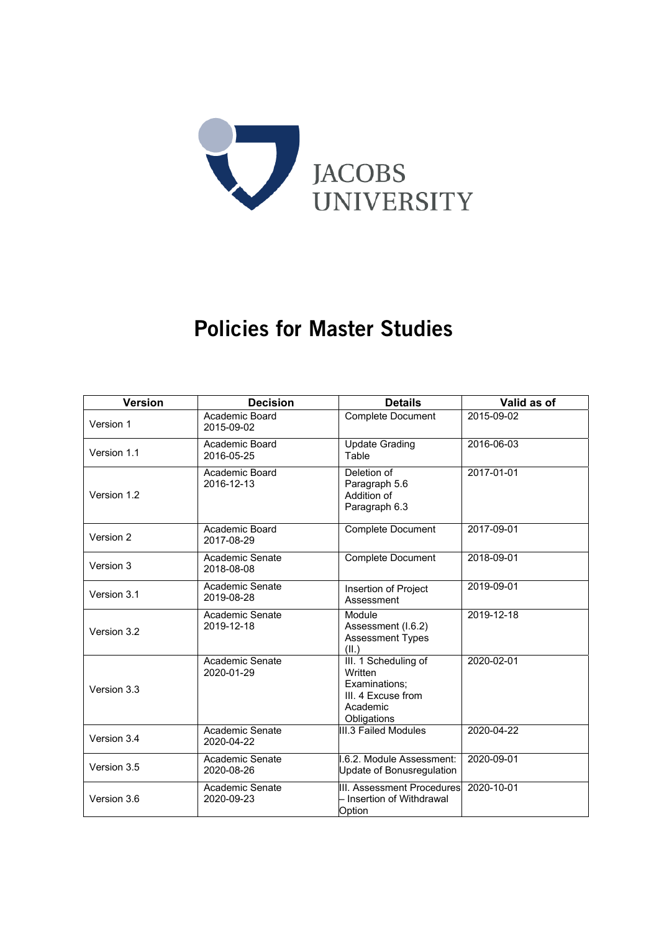

# Policies for Master Studies

| <b>Version</b> | <b>Decision</b>               | <b>Details</b>                                                                                    | Valid as of |
|----------------|-------------------------------|---------------------------------------------------------------------------------------------------|-------------|
| Version 1      | Academic Board<br>2015-09-02  | <b>Complete Document</b>                                                                          | 2015-09-02  |
| Version 1.1    | Academic Board<br>2016-05-25  | <b>Update Grading</b><br>Table                                                                    | 2016-06-03  |
| Version 1.2    | Academic Board<br>2016-12-13  | Deletion of<br>Paragraph 5.6<br>Addition of<br>Paragraph 6.3                                      | 2017-01-01  |
| Version 2      | Academic Board<br>2017-08-29  | Complete Document                                                                                 | 2017-09-01  |
| Version 3      | Academic Senate<br>2018-08-08 | <b>Complete Document</b>                                                                          | 2018-09-01  |
| Version 3.1    | Academic Senate<br>2019-08-28 | Insertion of Project<br>Assessment                                                                | 2019-09-01  |
| Version 3.2    | Academic Senate<br>2019-12-18 | Module<br>Assessment (I.6.2)<br><b>Assessment Types</b><br>(II.)                                  | 2019-12-18  |
| Version 3.3    | Academic Senate<br>2020-01-29 | III. 1 Scheduling of<br>Written<br>Examinations:<br>III. 4 Excuse from<br>Academic<br>Obligations | 2020-02-01  |
| Version 3.4    | Academic Senate<br>2020-04-22 | III.3 Failed Modules                                                                              | 2020-04-22  |
| Version 3.5    | Academic Senate<br>2020-08-26 | .6.2. Module Assessment:<br>Update of Bonusregulation                                             | 2020-09-01  |
| Version 3.6    | Academic Senate<br>2020-09-23 | <b>III. Assessment Procedures</b><br>– Insertion of Withdrawal<br>Option                          | 2020-10-01  |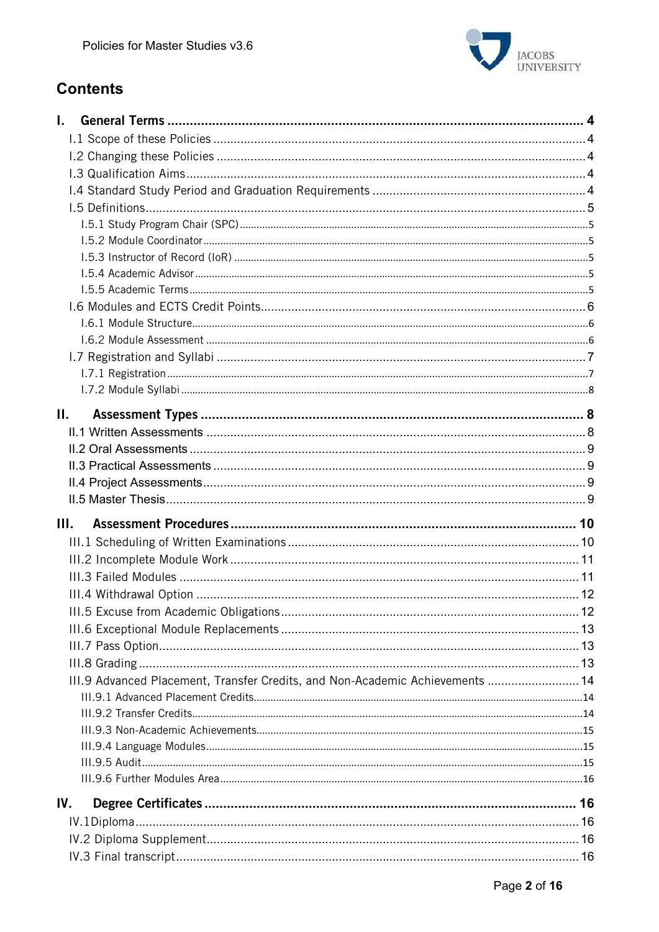

# **Contents**

| L.                                                                            |  |
|-------------------------------------------------------------------------------|--|
|                                                                               |  |
|                                                                               |  |
|                                                                               |  |
|                                                                               |  |
|                                                                               |  |
|                                                                               |  |
|                                                                               |  |
|                                                                               |  |
|                                                                               |  |
|                                                                               |  |
|                                                                               |  |
|                                                                               |  |
|                                                                               |  |
|                                                                               |  |
|                                                                               |  |
|                                                                               |  |
| Н.                                                                            |  |
|                                                                               |  |
|                                                                               |  |
|                                                                               |  |
|                                                                               |  |
|                                                                               |  |
|                                                                               |  |
| III.                                                                          |  |
|                                                                               |  |
|                                                                               |  |
|                                                                               |  |
|                                                                               |  |
|                                                                               |  |
|                                                                               |  |
|                                                                               |  |
|                                                                               |  |
| III.9 Advanced Placement, Transfer Credits, and Non-Academic Achievements  14 |  |
|                                                                               |  |
|                                                                               |  |
|                                                                               |  |
|                                                                               |  |
|                                                                               |  |
|                                                                               |  |
| IV.                                                                           |  |
|                                                                               |  |
|                                                                               |  |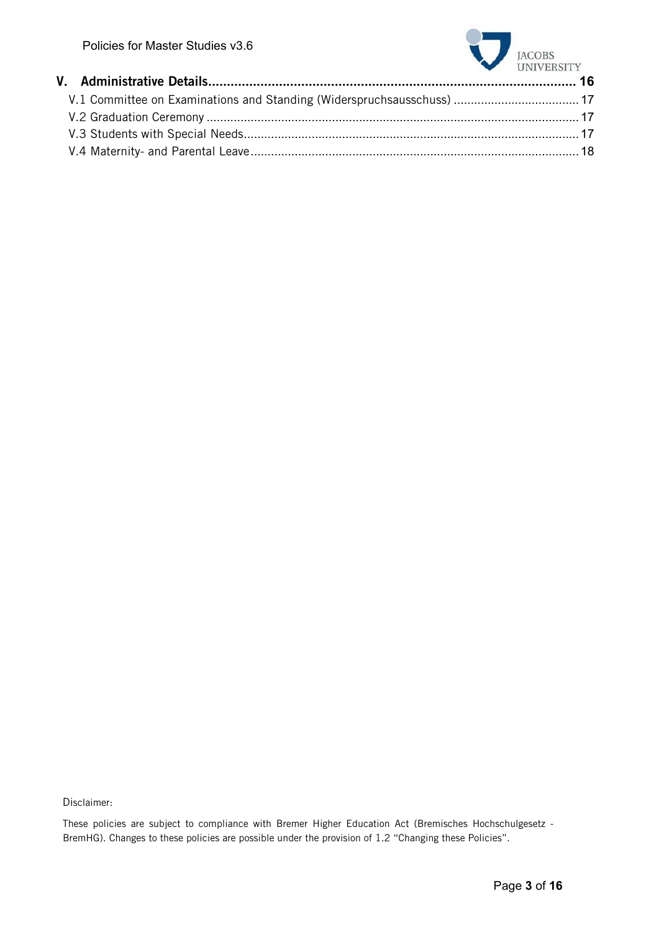

| <b>CINTA FIRSTER</b> |  |
|----------------------|--|
|                      |  |
|                      |  |
|                      |  |
|                      |  |
|                      |  |

Disclaimer:

These policies are subject to compliance with Bremer Higher Education Act (Bremisches Hochschulgesetz - BremHG). Changes to these policies are possible under the provision of 1.2 "Changing these Policies".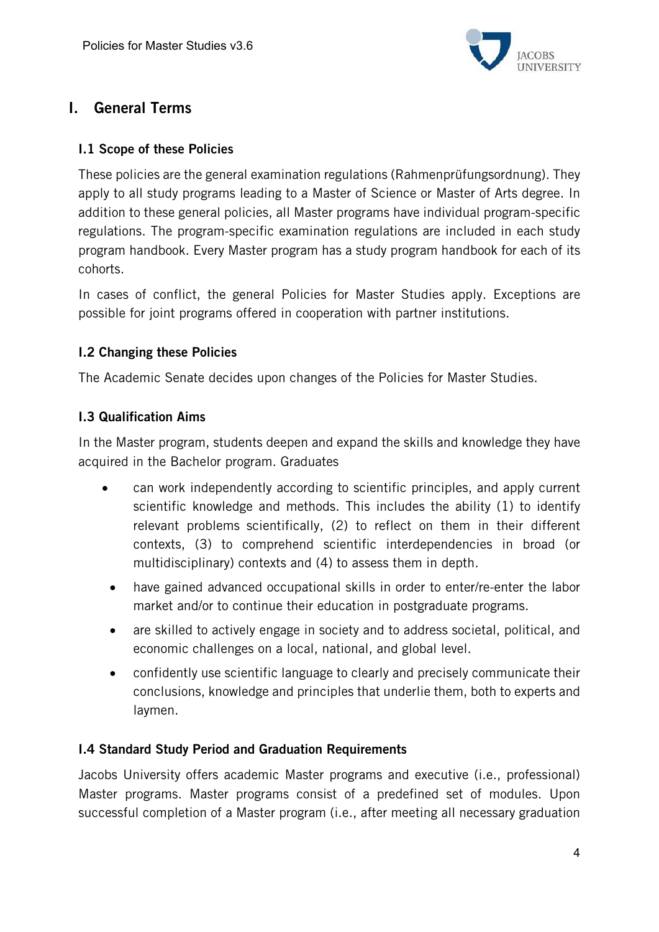

# I. General Terms

#### I.1 Scope of these Policies

These policies are the general examination regulations (Rahmenprüfungsordnung). They apply to all study programs leading to a Master of Science or Master of Arts degree. In addition to these general policies, all Master programs have individual program-specific regulations. The program-specific examination regulations are included in each study program handbook. Every Master program has a study program handbook for each of its cohorts.

In cases of conflict, the general Policies for Master Studies apply. Exceptions are possible for joint programs offered in cooperation with partner institutions.

#### I.2 Changing these Policies

The Academic Senate decides upon changes of the Policies for Master Studies.

#### I.3 Qualification Aims

In the Master program, students deepen and expand the skills and knowledge they have acquired in the Bachelor program. Graduates

- can work independently according to scientific principles, and apply current scientific knowledge and methods. This includes the ability (1) to identify relevant problems scientifically, (2) to reflect on them in their different contexts, (3) to comprehend scientific interdependencies in broad (or multidisciplinary) contexts and (4) to assess them in depth.
- have gained advanced occupational skills in order to enter/re-enter the labor market and/or to continue their education in postgraduate programs.
- are skilled to actively engage in society and to address societal, political, and economic challenges on a local, national, and global level.
- confidently use scientific language to clearly and precisely communicate their conclusions, knowledge and principles that underlie them, both to experts and laymen.

# I.4 Standard Study Period and Graduation Requirements

Jacobs University offers academic Master programs and executive (i.e., professional) Master programs. Master programs consist of a predefined set of modules. Upon successful completion of a Master program (i.e., after meeting all necessary graduation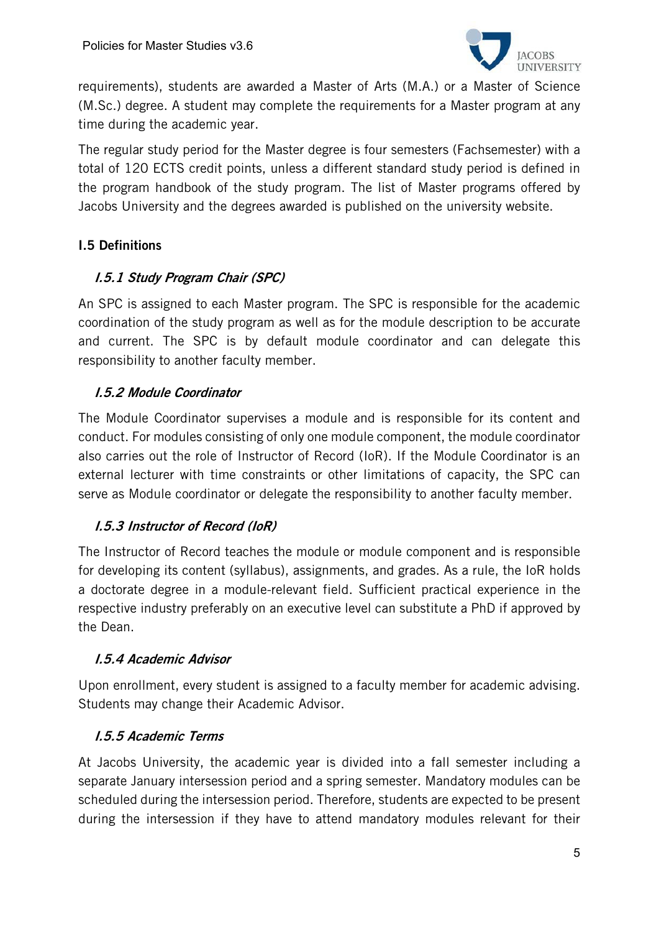

requirements), students are awarded a Master of Arts (M.A.) or a Master of Science (M.Sc.) degree. A student may complete the requirements for a Master program at any time during the academic year.

The regular study period for the Master degree is four semesters (Fachsemester) with a total of 120 ECTS credit points, unless a different standard study period is defined in the program handbook of the study program. The list of Master programs offered by Jacobs University and the degrees awarded is published on the university website.

# I.5 Definitions

# I.5.1 Study Program Chair (SPC)

An SPC is assigned to each Master program. The SPC is responsible for the academic coordination of the study program as well as for the module description to be accurate and current. The SPC is by default module coordinator and can delegate this responsibility to another faculty member.

#### I.5.2 Module Coordinator

The Module Coordinator supervises a module and is responsible for its content and conduct. For modules consisting of only one module component, the module coordinator also carries out the role of Instructor of Record (IoR). If the Module Coordinator is an external lecturer with time constraints or other limitations of capacity, the SPC can serve as Module coordinator or delegate the responsibility to another faculty member.

# I.5.3 Instructor of Record (IoR)

The Instructor of Record teaches the module or module component and is responsible for developing its content (syllabus), assignments, and grades. As a rule, the IoR holds a doctorate degree in a module-relevant field. Sufficient practical experience in the respective industry preferably on an executive level can substitute a PhD if approved by the Dean.

#### I.5.4 Academic Advisor

Upon enrollment, every student is assigned to a faculty member for academic advising. Students may change their Academic Advisor.

# I.5.5 Academic Terms

At Jacobs University, the academic year is divided into a fall semester including a separate January intersession period and a spring semester. Mandatory modules can be scheduled during the intersession period. Therefore, students are expected to be present during the intersession if they have to attend mandatory modules relevant for their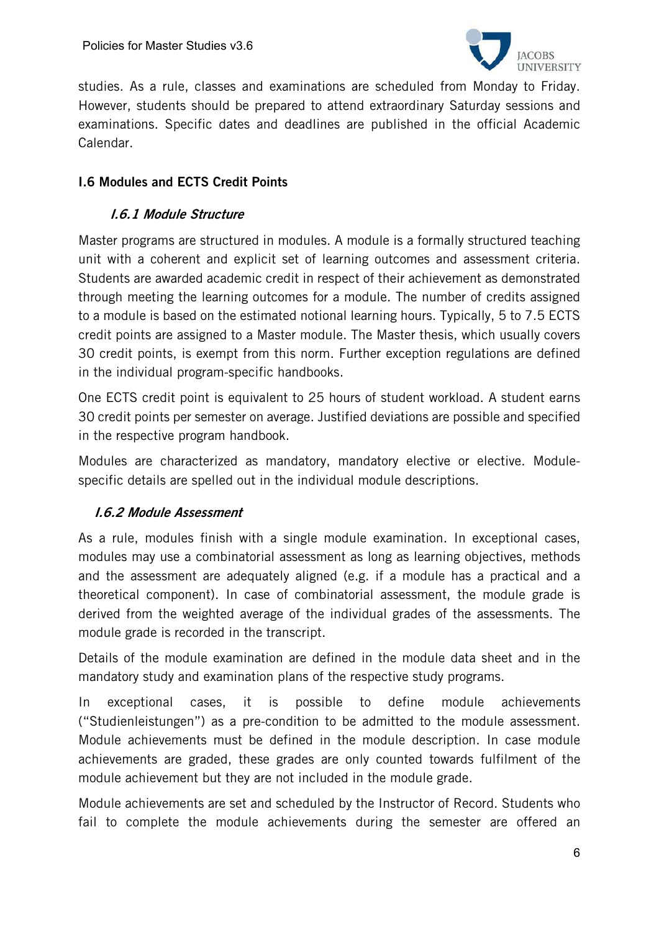

studies. As a rule, classes and examinations are scheduled from Monday to Friday. However, students should be prepared to attend extraordinary Saturday sessions and examinations. Specific dates and deadlines are published in the official Academic Calendar.

# I.6 Modules and ECTS Credit Points

# I.6.1 Module Structure

Master programs are structured in modules. A module is a formally structured teaching unit with a coherent and explicit set of learning outcomes and assessment criteria. Students are awarded academic credit in respect of their achievement as demonstrated through meeting the learning outcomes for a module. The number of credits assigned to a module is based on the estimated notional learning hours. Typically, 5 to 7.5 ECTS credit points are assigned to a Master module. The Master thesis, which usually covers 30 credit points, is exempt from this norm. Further exception regulations are defined in the individual program-specific handbooks.

One ECTS credit point is equivalent to 25 hours of student workload. A student earns 30 credit points per semester on average. Justified deviations are possible and specified in the respective program handbook.

Modules are characterized as mandatory, mandatory elective or elective. Modulespecific details are spelled out in the individual module descriptions.

# I.6.2 Module Assessment

As a rule, modules finish with a single module examination. In exceptional cases, modules may use a combinatorial assessment as long as learning objectives, methods and the assessment are adequately aligned (e.g. if a module has a practical and a theoretical component). In case of combinatorial assessment, the module grade is derived from the weighted average of the individual grades of the assessments. The module grade is recorded in the transcript.

Details of the module examination are defined in the module data sheet and in the mandatory study and examination plans of the respective study programs.

In exceptional cases, it is possible to define module achievements ("Studienleistungen") as a pre-condition to be admitted to the module assessment. Module achievements must be defined in the module description. In case module achievements are graded, these grades are only counted towards fulfilment of the module achievement but they are not included in the module grade.

Module achievements are set and scheduled by the Instructor of Record. Students who fail to complete the module achievements during the semester are offered an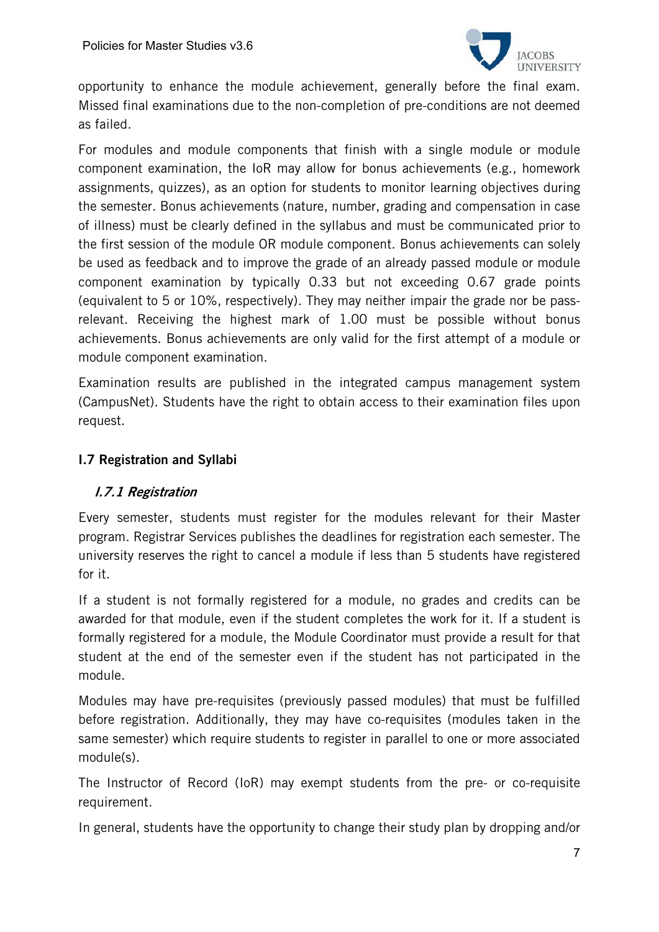

opportunity to enhance the module achievement, generally before the final exam. Missed final examinations due to the non-completion of pre-conditions are not deemed as failed.

For modules and module components that finish with a single module or module component examination, the IoR may allow for bonus achievements (e.g., homework assignments, quizzes), as an option for students to monitor learning objectives during the semester. Bonus achievements (nature, number, grading and compensation in case of illness) must be clearly defined in the syllabus and must be communicated prior to the first session of the module OR module component. Bonus achievements can solely be used as feedback and to improve the grade of an already passed module or module component examination by typically 0.33 but not exceeding 0.67 grade points (equivalent to 5 or 10%, respectively). They may neither impair the grade nor be passrelevant. Receiving the highest mark of 1.00 must be possible without bonus achievements. Bonus achievements are only valid for the first attempt of a module or module component examination.

Examination results are published in the integrated campus management system (CampusNet). Students have the right to obtain access to their examination files upon request.

#### I.7 Registration and Syllabi

# I.7.1 Registration

Every semester, students must register for the modules relevant for their Master program. Registrar Services publishes the deadlines for registration each semester. The university reserves the right to cancel a module if less than 5 students have registered for it.

If a student is not formally registered for a module, no grades and credits can be awarded for that module, even if the student completes the work for it. If a student is formally registered for a module, the Module Coordinator must provide a result for that student at the end of the semester even if the student has not participated in the module.

Modules may have pre-requisites (previously passed modules) that must be fulfilled before registration. Additionally, they may have co-requisites (modules taken in the same semester) which require students to register in parallel to one or more associated module(s).

The Instructor of Record (IoR) may exempt students from the pre- or co-requisite requirement.

In general, students have the opportunity to change their study plan by dropping and/or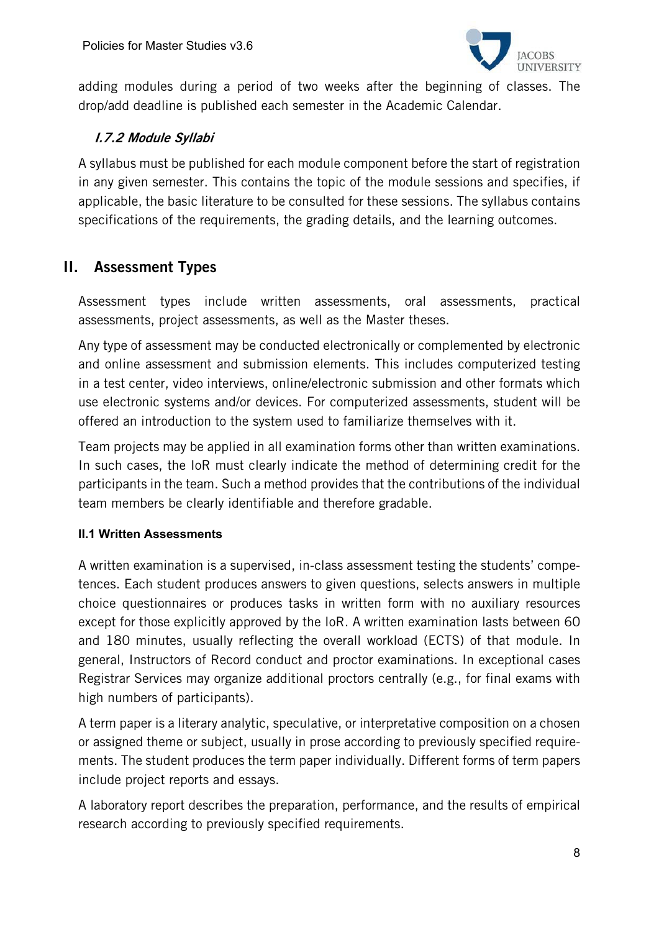

adding modules during a period of two weeks after the beginning of classes. The drop/add deadline is published each semester in the Academic Calendar.

# I.7.2 Module Syllabi

A syllabus must be published for each module component before the start of registration in any given semester. This contains the topic of the module sessions and specifies, if applicable, the basic literature to be consulted for these sessions. The syllabus contains specifications of the requirements, the grading details, and the learning outcomes.

# II. Assessment Types

Assessment types include written assessments, oral assessments, practical assessments, project assessments, as well as the Master theses.

Any type of assessment may be conducted electronically or complemented by electronic and online assessment and submission elements. This includes computerized testing in a test center, video interviews, online/electronic submission and other formats which use electronic systems and/or devices. For computerized assessments, student will be offered an introduction to the system used to familiarize themselves with it.

Team projects may be applied in all examination forms other than written examinations. In such cases, the IoR must clearly indicate the method of determining credit for the participants in the team. Such a method provides that the contributions of the individual team members be clearly identifiable and therefore gradable.

#### **II.1 Written Assessments**

A written examination is a supervised, in-class assessment testing the students' competences. Each student produces answers to given questions, selects answers in multiple choice questionnaires or produces tasks in written form with no auxiliary resources except for those explicitly approved by the IoR. A written examination lasts between 60 and 180 minutes, usually reflecting the overall workload (ECTS) of that module. In general, Instructors of Record conduct and proctor examinations. In exceptional cases Registrar Services may organize additional proctors centrally (e.g., for final exams with high numbers of participants).

A term paper is a literary analytic, speculative, or interpretative composition on a chosen or assigned theme or subject, usually in prose according to previously specified requirements. The student produces the term paper individually. Different forms of term papers include project reports and essays.

A laboratory report describes the preparation, performance, and the results of empirical research according to previously specified requirements.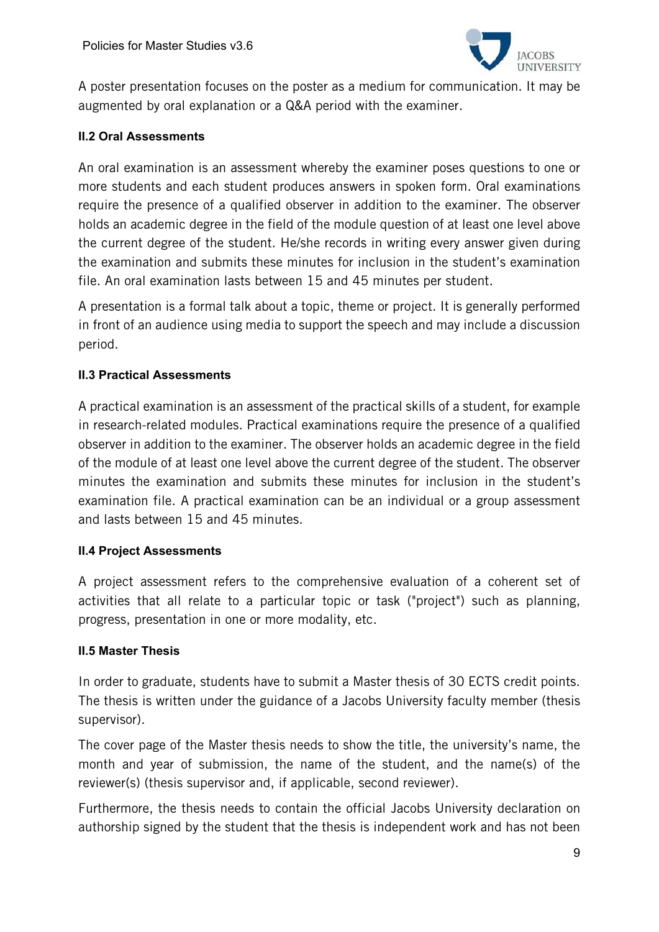

A poster presentation focuses on the poster as a medium for communication. It may be augmented by oral explanation or a Q&A period with the examiner.

#### **II.2 Oral Assessments**

An oral examination is an assessment whereby the examiner poses questions to one or more students and each student produces answers in spoken form. Oral examinations require the presence of a qualified observer in addition to the examiner. The observer holds an academic degree in the field of the module question of at least one level above the current degree of the student. He/she records in writing every answer given during the examination and submits these minutes for inclusion in the student's examination file. An oral examination lasts between 15 and 45 minutes per student.

A presentation is a formal talk about a topic, theme or project. It is generally performed in front of an audience using media to support the speech and may include a discussion period.

#### **II.3 Practical Assessments**

A practical examination is an assessment of the practical skills of a student, for example in research-related modules. Practical examinations require the presence of a qualified observer in addition to the examiner. The observer holds an academic degree in the field of the module of at least one level above the current degree of the student. The observer minutes the examination and submits these minutes for inclusion in the student's examination file. A practical examination can be an individual or a group assessment and lasts between 15 and 45 minutes.

#### **II.4 Project Assessments**

A project assessment refers to the comprehensive evaluation of a coherent set of activities that all relate to a particular topic or task ("project") such as planning, progress, presentation in one or more modality, etc.

#### **II.5 Master Thesis**

In order to graduate, students have to submit a Master thesis of 30 ECTS credit points. The thesis is written under the guidance of a Jacobs University faculty member (thesis supervisor).

The cover page of the Master thesis needs to show the title, the university's name, the month and year of submission, the name of the student, and the name(s) of the reviewer(s) (thesis supervisor and, if applicable, second reviewer).

Furthermore, the thesis needs to contain the official Jacobs University declaration on authorship signed by the student that the thesis is independent work and has not been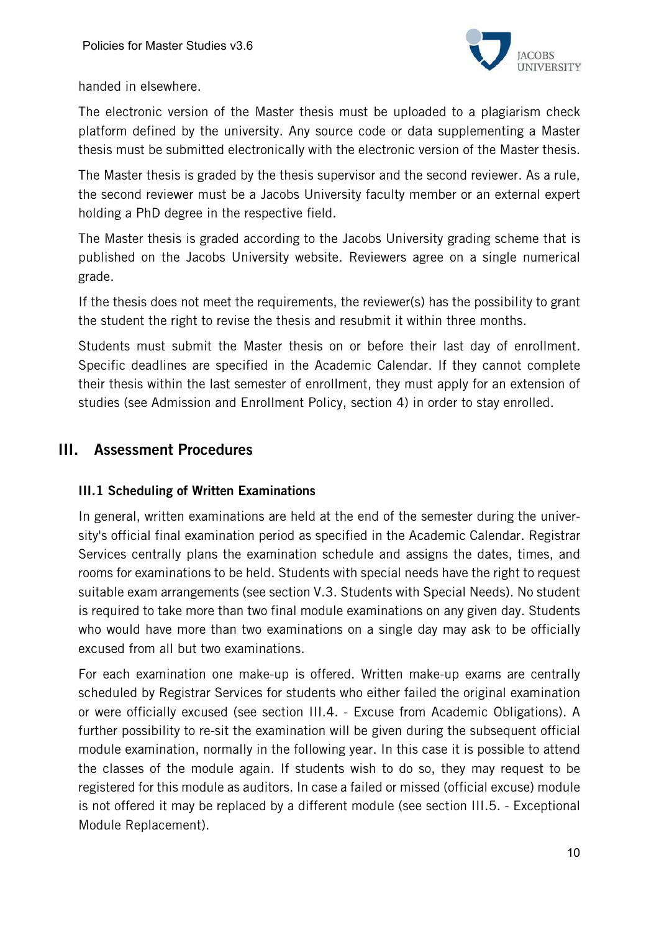

handed in elsewhere.

The electronic version of the Master thesis must be uploaded to a plagiarism check platform defined by the university. Any source code or data supplementing a Master thesis must be submitted electronically with the electronic version of the Master thesis.

The Master thesis is graded by the thesis supervisor and the second reviewer. As a rule, the second reviewer must be a Jacobs University faculty member or an external expert holding a PhD degree in the respective field.

The Master thesis is graded according to the Jacobs University grading scheme that is published on the Jacobs University website. Reviewers agree on a single numerical grade.

If the thesis does not meet the requirements, the reviewer(s) has the possibility to grant the student the right to revise the thesis and resubmit it within three months.

Students must submit the Master thesis on or before their last day of enrollment. Specific deadlines are specified in the Academic Calendar. If they cannot complete their thesis within the last semester of enrollment, they must apply for an extension of studies (see Admission and Enrollment Policy, section 4) in order to stay enrolled.

# III. Assessment Procedures

# III.1 Scheduling of Written Examinations

In general, written examinations are held at the end of the semester during the university's official final examination period as specified in the Academic Calendar. Registrar Services centrally plans the examination schedule and assigns the dates, times, and rooms for examinations to be held. Students with special needs have the right to request suitable exam arrangements (see section V.3. Students with Special Needs). No student is required to take more than two final module examinations on any given day. Students who would have more than two examinations on a single day may ask to be officially excused from all but two examinations.

For each examination one make-up is offered. Written make-up exams are centrally scheduled by Registrar Services for students who either failed the original examination or were officially excused (see section III.4. - Excuse from Academic Obligations). A further possibility to re-sit the examination will be given during the subsequent official module examination, normally in the following year. In this case it is possible to attend the classes of the module again. If students wish to do so, they may request to be registered for this module as auditors. In case a failed or missed (official excuse) module is not offered it may be replaced by a different module (see section III.5. - Exceptional Module Replacement).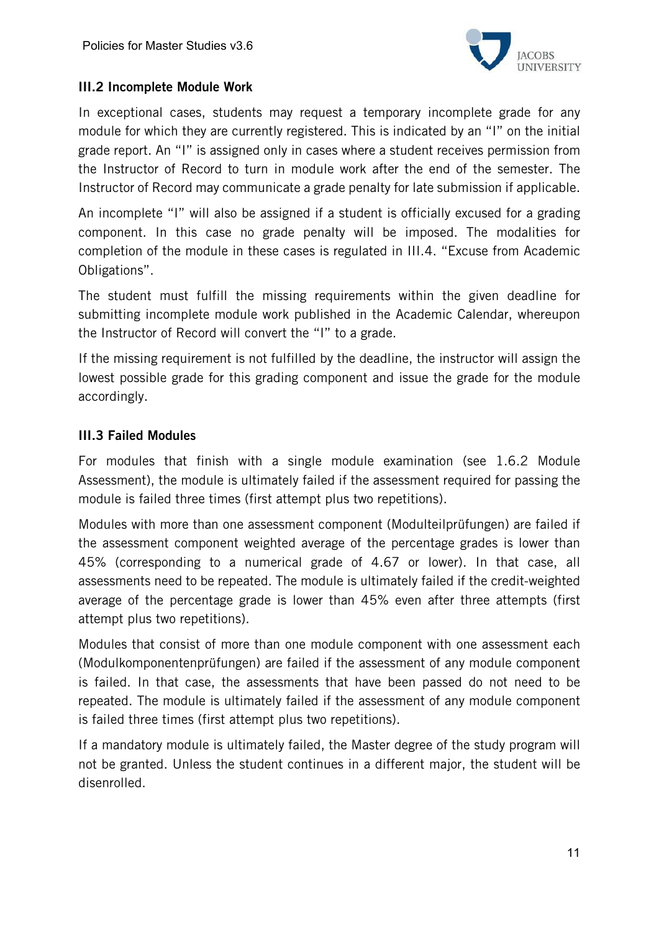

#### III.2 Incomplete Module Work

In exceptional cases, students may request a temporary incomplete grade for any module for which they are currently registered. This is indicated by an "I" on the initial grade report. An "I" is assigned only in cases where a student receives permission from the Instructor of Record to turn in module work after the end of the semester. The Instructor of Record may communicate a grade penalty for late submission if applicable.

An incomplete "I" will also be assigned if a student is officially excused for a grading component. In this case no grade penalty will be imposed. The modalities for completion of the module in these cases is regulated in III.4. "Excuse from Academic Obligations".

The student must fulfill the missing requirements within the given deadline for submitting incomplete module work published in the Academic Calendar, whereupon the Instructor of Record will convert the "I" to a grade.

If the missing requirement is not fulfilled by the deadline, the instructor will assign the lowest possible grade for this grading component and issue the grade for the module accordingly.

#### III.3 Failed Modules

For modules that finish with a single module examination (see 1.6.2 Module Assessment), the module is ultimately failed if the assessment required for passing the module is failed three times (first attempt plus two repetitions).

Modules with more than one assessment component (Modulteilprüfungen) are failed if the assessment component weighted average of the percentage grades is lower than 45% (corresponding to a numerical grade of 4.67 or lower). In that case, all assessments need to be repeated. The module is ultimately failed if the credit-weighted average of the percentage grade is lower than 45% even after three attempts (first attempt plus two repetitions).

Modules that consist of more than one module component with one assessment each (Modulkomponentenprüfungen) are failed if the assessment of any module component is failed. In that case, the assessments that have been passed do not need to be repeated. The module is ultimately failed if the assessment of any module component is failed three times (first attempt plus two repetitions).

If a mandatory module is ultimately failed, the Master degree of the study program will not be granted. Unless the student continues in a different major, the student will be disenrolled.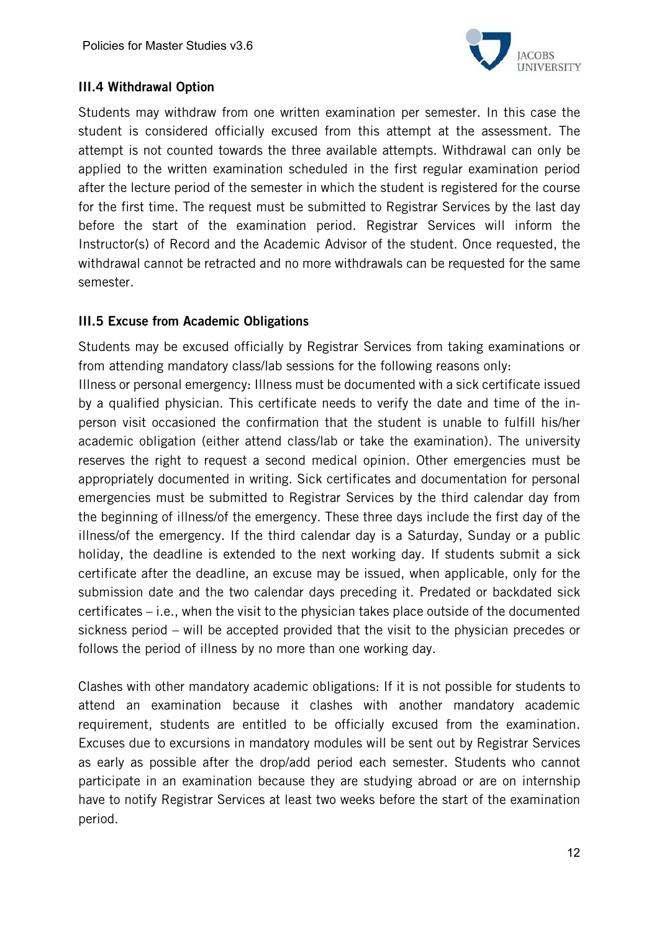

# III.4 Withdrawal Option

Students may withdraw from one written examination per semester. In this case the student is considered officially excused from this attempt at the assessment. The attempt is not counted towards the three available attempts. Withdrawal can only be applied to the written examination scheduled in the first regular examination period after the lecture period of the semester in which the student is registered for the course for the first time. The request must be submitted to Registrar Services by the last day before the start of the examination period. Registrar Services will inform the Instructor(s) of Record and the Academic Advisor of the student. Once requested, the withdrawal cannot be retracted and no more withdrawals can be requested for the same semester.

#### III.5 Excuse from Academic Obligations

Students may be excused officially by Registrar Services from taking examinations or from attending mandatory class/lab sessions for the following reasons only:

Illness or personal emergency: Illness must be documented with a sick certificate issued by a qualified physician. This certificate needs to verify the date and time of the inperson visit occasioned the confirmation that the student is unable to fulfill his/her academic obligation (either attend class/lab or take the examination). The university reserves the right to request a second medical opinion. Other emergencies must be appropriately documented in writing. Sick certificates and documentation for personal emergencies must be submitted to Registrar Services by the third calendar day from the beginning of illness/of the emergency. These three days include the first day of the illness/of the emergency. If the third calendar day is a Saturday, Sunday or a public holiday, the deadline is extended to the next working day. If students submit a sick certificate after the deadline, an excuse may be issued, when applicable, only for the submission date and the two calendar days preceding it. Predated or backdated sick certificates – i.e., when the visit to the physician takes place outside of the documented sickness period – will be accepted provided that the visit to the physician precedes or follows the period of illness by no more than one working day.

Clashes with other mandatory academic obligations: If it is not possible for students to attend an examination because it clashes with another mandatory academic requirement, students are entitled to be officially excused from the examination. Excuses due to excursions in mandatory modules will be sent out by Registrar Services as early as possible after the drop/add period each semester. Students who cannot participate in an examination because they are studying abroad or are on internship have to notify Registrar Services at least two weeks before the start of the examination period.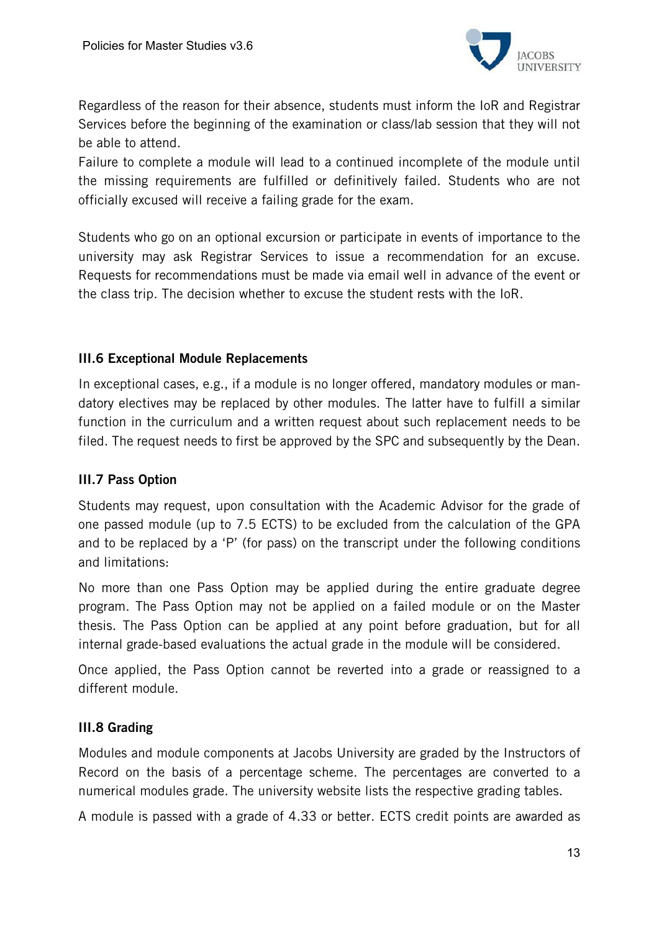

Regardless of the reason for their absence, students must inform the IoR and Registrar Services before the beginning of the examination or class/lab session that they will not be able to attend.

Failure to complete a module will lead to a continued incomplete of the module until the missing requirements are fulfilled or definitively failed. Students who are not officially excused will receive a failing grade for the exam.

Students who go on an optional excursion or participate in events of importance to the university may ask Registrar Services to issue a recommendation for an excuse. Requests for recommendations must be made via email well in advance of the event or the class trip. The decision whether to excuse the student rests with the IoR.

#### III.6 Exceptional Module Replacements

In exceptional cases, e.g., if a module is no longer offered, mandatory modules or mandatory electives may be replaced by other modules. The latter have to fulfill a similar function in the curriculum and a written request about such replacement needs to be filed. The request needs to first be approved by the SPC and subsequently by the Dean.

# III.7 Pass Option

Students may request, upon consultation with the Academic Advisor for the grade of one passed module (up to 7.5 ECTS) to be excluded from the calculation of the GPA and to be replaced by a 'P' (for pass) on the transcript under the following conditions and limitations:

No more than one Pass Option may be applied during the entire graduate degree program. The Pass Option may not be applied on a failed module or on the Master thesis. The Pass Option can be applied at any point before graduation, but for all internal grade-based evaluations the actual grade in the module will be considered.

Once applied, the Pass Option cannot be reverted into a grade or reassigned to a different module.

#### III.8 Grading

Modules and module components at Jacobs University are graded by the Instructors of Record on the basis of a percentage scheme. The percentages are converted to a numerical modules grade. The university website lists the respective grading tables.

A module is passed with a grade of 4.33 or better. ECTS credit points are awarded as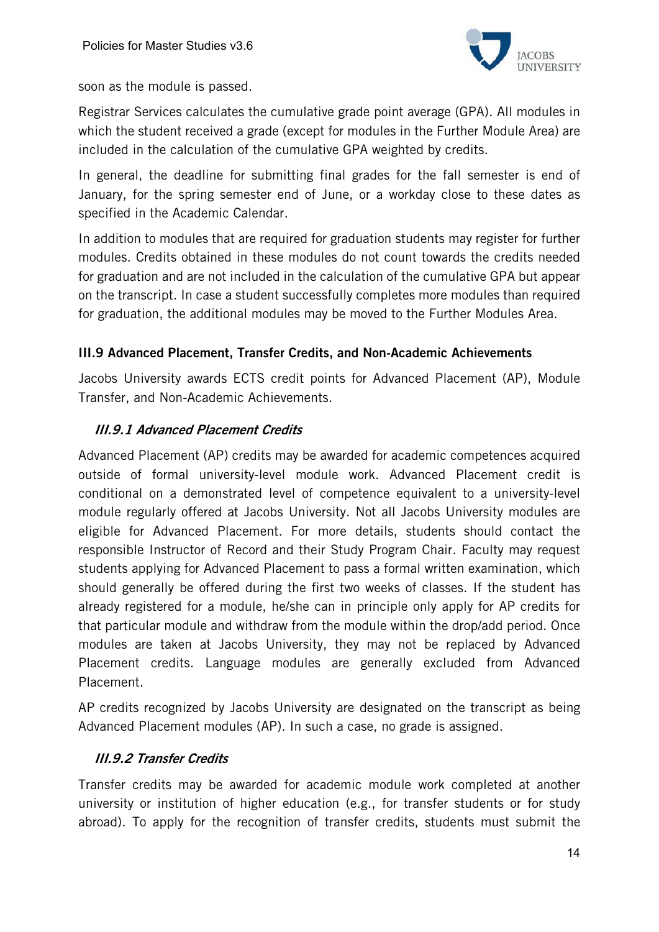

soon as the module is passed.

Registrar Services calculates the cumulative grade point average (GPA). All modules in which the student received a grade (except for modules in the Further Module Area) are included in the calculation of the cumulative GPA weighted by credits.

In general, the deadline for submitting final grades for the fall semester is end of January, for the spring semester end of June, or a workday close to these dates as specified in the Academic Calendar.

In addition to modules that are required for graduation students may register for further modules. Credits obtained in these modules do not count towards the credits needed for graduation and are not included in the calculation of the cumulative GPA but appear on the transcript. In case a student successfully completes more modules than required for graduation, the additional modules may be moved to the Further Modules Area.

# III.9 Advanced Placement, Transfer Credits, and Non-Academic Achievements

Jacobs University awards ECTS credit points for Advanced Placement (AP), Module Transfer, and Non-Academic Achievements.

# III.9.1 Advanced Placement Credits

Advanced Placement (AP) credits may be awarded for academic competences acquired outside of formal university-level module work. Advanced Placement credit is conditional on a demonstrated level of competence equivalent to a university-level module regularly offered at Jacobs University. Not all Jacobs University modules are eligible for Advanced Placement. For more details, students should contact the responsible Instructor of Record and their Study Program Chair. Faculty may request students applying for Advanced Placement to pass a formal written examination, which should generally be offered during the first two weeks of classes. If the student has already registered for a module, he/she can in principle only apply for AP credits for that particular module and withdraw from the module within the drop/add period. Once modules are taken at Jacobs University, they may not be replaced by Advanced Placement credits. Language modules are generally excluded from Advanced Placement.

AP credits recognized by Jacobs University are designated on the transcript as being Advanced Placement modules (AP). In such a case, no grade is assigned.

#### III.9.2 Transfer Credits

Transfer credits may be awarded for academic module work completed at another university or institution of higher education (e.g., for transfer students or for study abroad). To apply for the recognition of transfer credits, students must submit the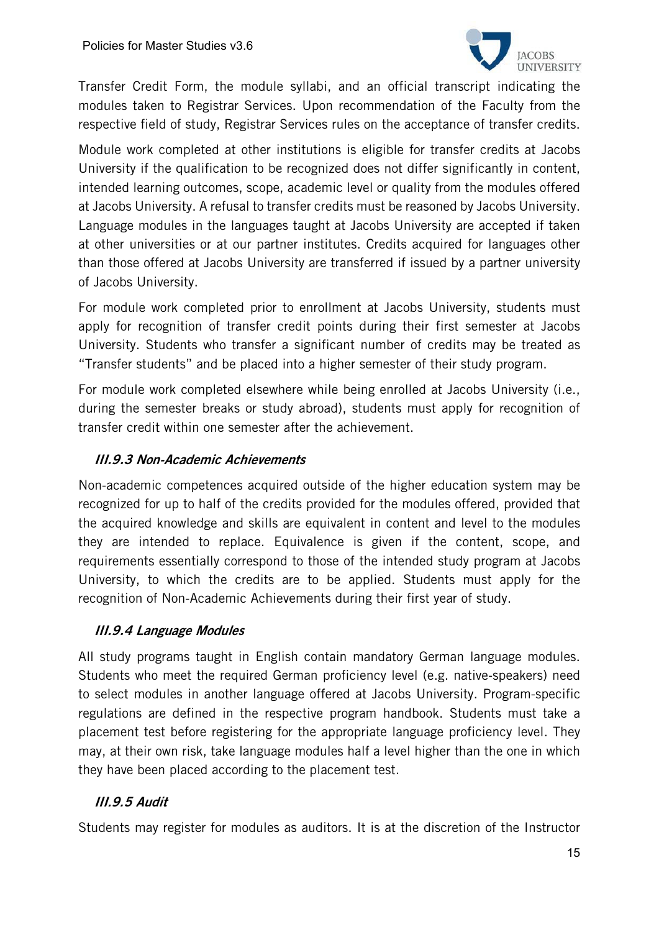

Transfer Credit Form, the module syllabi, and an official transcript indicating the modules taken to Registrar Services. Upon recommendation of the Faculty from the respective field of study, Registrar Services rules on the acceptance of transfer credits.

Module work completed at other institutions is eligible for transfer credits at Jacobs University if the qualification to be recognized does not differ significantly in content, intended learning outcomes, scope, academic level or quality from the modules offered at Jacobs University. A refusal to transfer credits must be reasoned by Jacobs University. Language modules in the languages taught at Jacobs University are accepted if taken at other universities or at our partner institutes. Credits acquired for languages other than those offered at Jacobs University are transferred if issued by a partner university of Jacobs University.

For module work completed prior to enrollment at Jacobs University, students must apply for recognition of transfer credit points during their first semester at Jacobs University. Students who transfer a significant number of credits may be treated as "Transfer students" and be placed into a higher semester of their study program.

For module work completed elsewhere while being enrolled at Jacobs University (i.e., during the semester breaks or study abroad), students must apply for recognition of transfer credit within one semester after the achievement.

# III.9.3 Non-Academic Achievements

Non-academic competences acquired outside of the higher education system may be recognized for up to half of the credits provided for the modules offered, provided that the acquired knowledge and skills are equivalent in content and level to the modules they are intended to replace. Equivalence is given if the content, scope, and requirements essentially correspond to those of the intended study program at Jacobs University, to which the credits are to be applied. Students must apply for the recognition of Non-Academic Achievements during their first year of study.

# III.9.4 Language Modules

All study programs taught in English contain mandatory German language modules. Students who meet the required German proficiency level (e.g. native-speakers) need to select modules in another language offered at Jacobs University. Program-specific regulations are defined in the respective program handbook. Students must take a placement test before registering for the appropriate language proficiency level. They may, at their own risk, take language modules half a level higher than the one in which they have been placed according to the placement test.

# III.9.5 Audit

Students may register for modules as auditors. It is at the discretion of the Instructor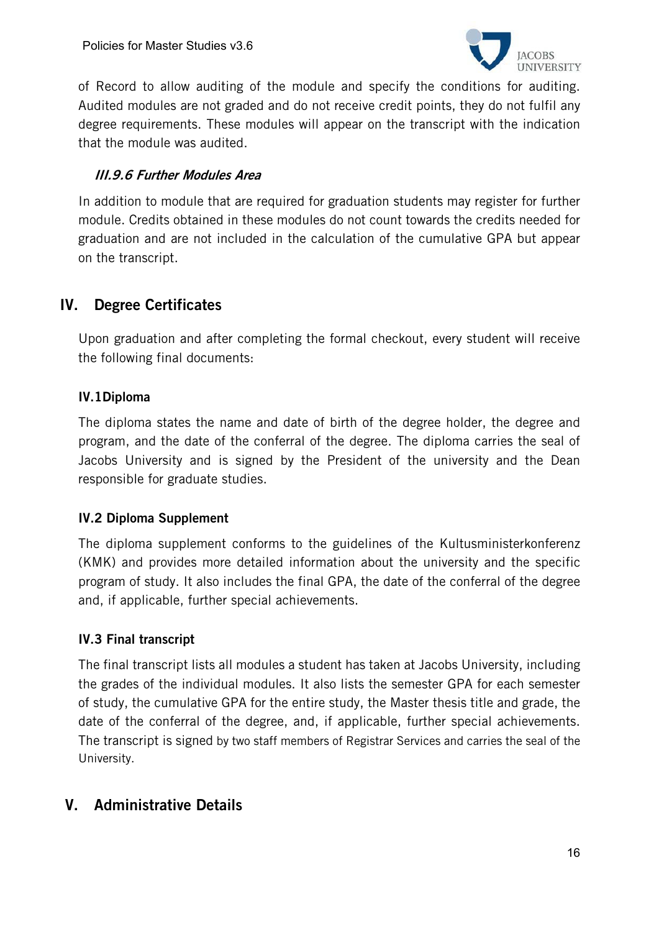

of Record to allow auditing of the module and specify the conditions for auditing. Audited modules are not graded and do not receive credit points, they do not fulfil any degree requirements. These modules will appear on the transcript with the indication that the module was audited.

# III.9.6 Further Modules Area

In addition to module that are required for graduation students may register for further module. Credits obtained in these modules do not count towards the credits needed for graduation and are not included in the calculation of the cumulative GPA but appear on the transcript.

# IV. Degree Certificates

Upon graduation and after completing the formal checkout, every student will receive the following final documents:

# IV.1Diploma

The diploma states the name and date of birth of the degree holder, the degree and program, and the date of the conferral of the degree. The diploma carries the seal of Jacobs University and is signed by the President of the university and the Dean responsible for graduate studies.

#### IV.2 Diploma Supplement

The diploma supplement conforms to the guidelines of the Kultusministerkonferenz (KMK) and provides more detailed information about the university and the specific program of study. It also includes the final GPA, the date of the conferral of the degree and, if applicable, further special achievements.

# IV.3 Final transcript

The final transcript lists all modules a student has taken at Jacobs University, including the grades of the individual modules. It also lists the semester GPA for each semester of study, the cumulative GPA for the entire study, the Master thesis title and grade, the date of the conferral of the degree, and, if applicable, further special achievements. The transcript is signed by two staff members of Registrar Services and carries the seal of the University.

# V. Administrative Details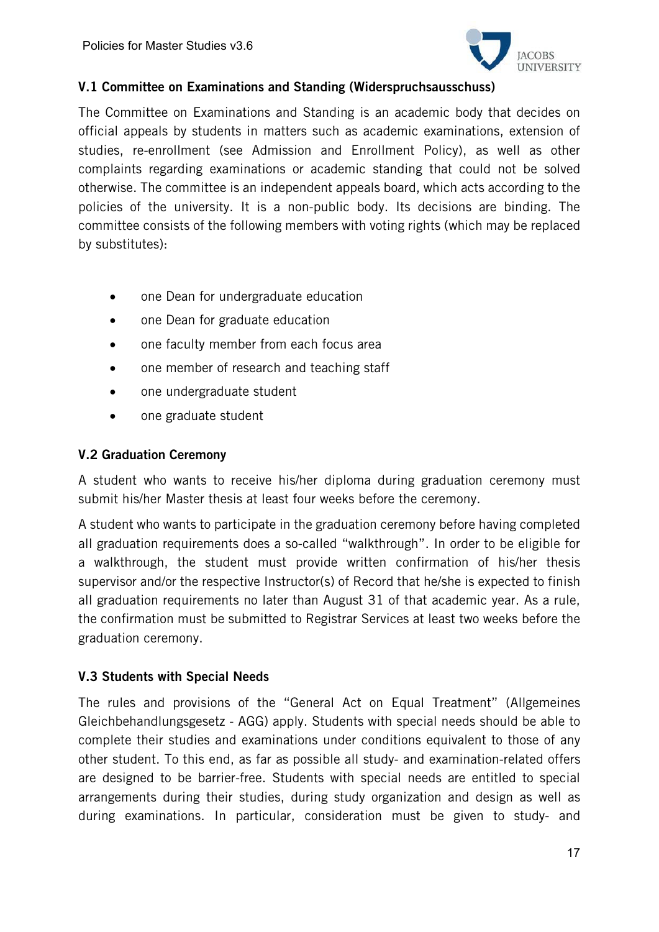

#### V.1 Committee on Examinations and Standing (Widerspruchsausschuss)

The Committee on Examinations and Standing is an academic body that decides on official appeals by students in matters such as academic examinations, extension of studies, re-enrollment (see Admission and Enrollment Policy), as well as other complaints regarding examinations or academic standing that could not be solved otherwise. The committee is an independent appeals board, which acts according to the policies of the university. It is a non-public body. Its decisions are binding. The committee consists of the following members with voting rights (which may be replaced by substitutes):

- one Dean for undergraduate education
- one Dean for graduate education
- one faculty member from each focus area
- one member of research and teaching staff
- one undergraduate student
- one graduate student

#### V.2 Graduation Ceremony

A student who wants to receive his/her diploma during graduation ceremony must submit his/her Master thesis at least four weeks before the ceremony.

A student who wants to participate in the graduation ceremony before having completed all graduation requirements does a so-called "walkthrough". In order to be eligible for a walkthrough, the student must provide written confirmation of his/her thesis supervisor and/or the respective Instructor(s) of Record that he/she is expected to finish all graduation requirements no later than August 31 of that academic year. As a rule, the confirmation must be submitted to Registrar Services at least two weeks before the graduation ceremony.

#### V.3 Students with Special Needs

The rules and provisions of the "General Act on Equal Treatment" (Allgemeines Gleichbehandlungsgesetz - AGG) apply. Students with special needs should be able to complete their studies and examinations under conditions equivalent to those of any other student. To this end, as far as possible all study- and examination-related offers are designed to be barrier-free. Students with special needs are entitled to special arrangements during their studies, during study organization and design as well as during examinations. In particular, consideration must be given to study- and